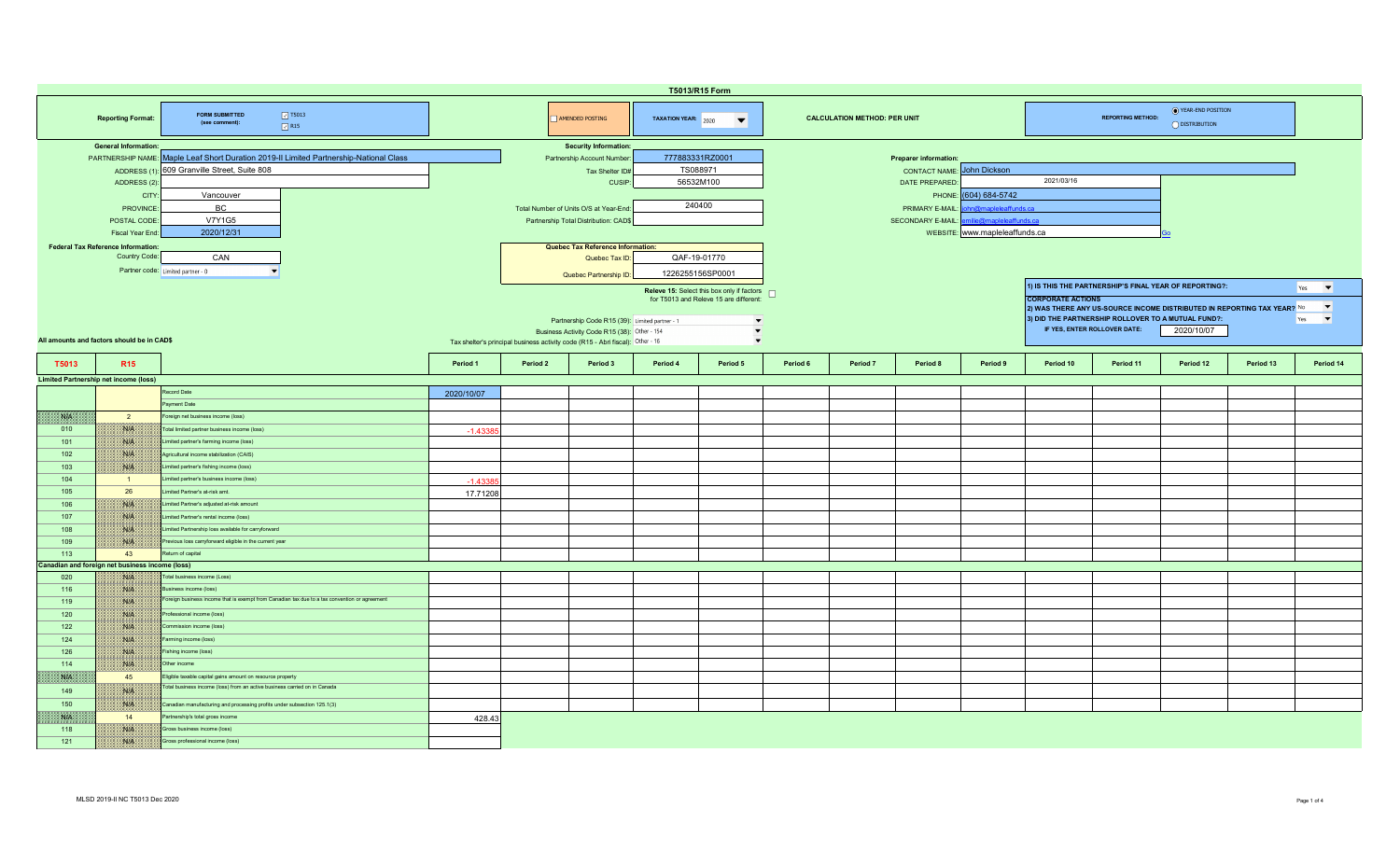| T5013/R15 Form                                                                                                                                                                       |                                                                                                        |                                                                                               |                                                                                                                                                                                  |                                                                |                                          |          |                                                                                                                                                            |          |                                                                |                            |          |                                                                                                                                                                                                         |           |           |           |                                                    |
|--------------------------------------------------------------------------------------------------------------------------------------------------------------------------------------|--------------------------------------------------------------------------------------------------------|-----------------------------------------------------------------------------------------------|----------------------------------------------------------------------------------------------------------------------------------------------------------------------------------|----------------------------------------------------------------|------------------------------------------|----------|------------------------------------------------------------------------------------------------------------------------------------------------------------|----------|----------------------------------------------------------------|----------------------------|----------|---------------------------------------------------------------------------------------------------------------------------------------------------------------------------------------------------------|-----------|-----------|-----------|----------------------------------------------------|
|                                                                                                                                                                                      | <b>Reporting Format:</b>                                                                               | $\boxed{3}$ T5013<br><b>FORM SUBMITTED</b><br>(see comment):<br>$\sqrt{}$ R15                 |                                                                                                                                                                                  | AMENDED POSTING<br>TAXATION YEAR: 2020<br>$\blacktriangledown$ |                                          |          |                                                                                                                                                            |          | <b>CALCULATION METHOD: PER UNIT</b>                            |                            |          | ◯ YEAR-END POSITION<br><b>REPORTING METHOD:</b><br>O DISTRIBUTION                                                                                                                                       |           |           |           |                                                    |
| <b>General Information:</b><br>PARTNERSHIP NAME: Maple Leaf Short Duration 2019-II Limited Partnership-National Class<br>ADDRESS (1): 609 Granville Street, Suite 808<br>ADDRESS (2) |                                                                                                        |                                                                                               | <b>Security Information:</b><br>Partnership Account Number<br>Tax Shelter ID#<br><b>CUSIP</b>                                                                                    |                                                                | 777883331RZ0001<br>TS088971<br>56532M100 |          |                                                                                                                                                            |          | Preparer information:<br><b>CONTACT NAME:</b><br>DATE PREPARED | John Dickson<br>2021/03/16 |          |                                                                                                                                                                                                         |           |           |           |                                                    |
|                                                                                                                                                                                      | CITY<br>Vancouver<br>BC.<br>PROVINCE<br><b>V7Y1G5</b><br>POSTAL CODE<br>2020/12/31<br>Fiscal Year End  |                                                                                               | Total Number of Units O/S at Year-End<br>Partnership Total Distribution: CAD\$                                                                                                   |                                                                | 240400                                   |          | (604) 684-5742<br>PHONE:<br>n@mapleleaffunds.ca<br>PRIMARY E-MAIL<br>nilie@mapleleaffunds.ca<br><b>SECONDARY E-MAIL:</b><br>WEBSITE: www.mapleleaffunds.ca |          |                                                                |                            |          |                                                                                                                                                                                                         |           |           |           |                                                    |
|                                                                                                                                                                                      | <b>Federal Tax Reference Information:</b><br>Country Code:<br>CAN<br>Partner code: Limited partner - 0 |                                                                                               | Quebec Tax Reference Information:<br>Quebec Tax ID:<br>Quebec Partnership ID:                                                                                                    |                                                                |                                          |          | QAF-19-01770<br>1226255156SP0001<br>Releve 15: Select this box only if factors $\Box$                                                                      |          |                                                                |                            |          | 1) IS THIS THE PARTNERSHIP'S FINAL YEAR OF REPORTING?:<br>$\blacktriangledown$<br>Yes                                                                                                                   |           |           |           |                                                    |
| All amounts and factors should be in CAD\$                                                                                                                                           |                                                                                                        |                                                                                               | Partnership Code R15 (39): Limited partner - 1<br>Business Activity Code R15 (38): Other - 154<br>Tax shelter's principal business activity code (R15 - Abri fiscal): Other - 16 |                                                                |                                          |          | for T5013 and Releve 15 are different:<br>$\overline{\phantom{a}}$<br>$\overline{\phantom{a}}$<br>$\blacktriangledown$                                     |          |                                                                |                            |          | <b>CORPORATE ACTIONS</b><br>2) WAS THERE ANY US-SOURCE INCOME DISTRIBUTED IN REPORTING TAX YEAR? No<br>3) DID THE PARTNERSHIP ROLLOVER TO A MUTUAL FUND?:<br>IF YES, ENTER ROLLOVER DATE:<br>2020/10/07 |           |           |           | $\blacktriangledown$<br>$\vert \cdot \vert$<br>Yes |
| T5013                                                                                                                                                                                | R <sub>15</sub>                                                                                        |                                                                                               | Period 1                                                                                                                                                                         | Period 2                                                       | Period 3                                 | Period 4 | Period 5                                                                                                                                                   | Period 6 | Period 7                                                       | Period 8                   | Period 9 | Period 10                                                                                                                                                                                               | Period 11 | Period 12 | Period 13 | Period 14                                          |
|                                                                                                                                                                                      | <b>Limited Partnership net income (loss)</b>                                                           |                                                                                               |                                                                                                                                                                                  |                                                                |                                          |          |                                                                                                                                                            |          |                                                                |                            |          |                                                                                                                                                                                                         |           |           |           |                                                    |
|                                                                                                                                                                                      |                                                                                                        | Record Date                                                                                   | 2020/10/07                                                                                                                                                                       |                                                                |                                          |          |                                                                                                                                                            |          |                                                                |                            |          |                                                                                                                                                                                                         |           |           |           |                                                    |
|                                                                                                                                                                                      |                                                                                                        | ayment Date                                                                                   |                                                                                                                                                                                  |                                                                |                                          |          |                                                                                                                                                            |          |                                                                |                            |          |                                                                                                                                                                                                         |           |           |           |                                                    |
| <b>SAPE</b>                                                                                                                                                                          | $\overline{2}$                                                                                         | Foreign net business income (loss)                                                            |                                                                                                                                                                                  |                                                                |                                          |          |                                                                                                                                                            |          |                                                                |                            |          |                                                                                                                                                                                                         |           |           |           |                                                    |
| 010                                                                                                                                                                                  | NIA                                                                                                    | Total limited partner business income (loss)                                                  |                                                                                                                                                                                  |                                                                |                                          |          |                                                                                                                                                            |          |                                                                |                            |          |                                                                                                                                                                                                         |           |           |           |                                                    |
|                                                                                                                                                                                      |                                                                                                        |                                                                                               | $-1.4338$                                                                                                                                                                        |                                                                |                                          |          |                                                                                                                                                            |          |                                                                |                            |          |                                                                                                                                                                                                         |           |           |           |                                                    |
| 101                                                                                                                                                                                  | WA                                                                                                     | Limited partner's farming income (loss)                                                       |                                                                                                                                                                                  |                                                                |                                          |          |                                                                                                                                                            |          |                                                                |                            |          |                                                                                                                                                                                                         |           |           |           |                                                    |
| 102                                                                                                                                                                                  | WIE                                                                                                    | Agricultural income stabilization (CAIS)                                                      |                                                                                                                                                                                  |                                                                |                                          |          |                                                                                                                                                            |          |                                                                |                            |          |                                                                                                                                                                                                         |           |           |           |                                                    |
| 103                                                                                                                                                                                  | NUN                                                                                                    | Limited partner's fishing income (loss)                                                       |                                                                                                                                                                                  |                                                                |                                          |          |                                                                                                                                                            |          |                                                                |                            |          |                                                                                                                                                                                                         |           |           |           |                                                    |
| 104                                                                                                                                                                                  | $\blacksquare$                                                                                         | Limited partner's business income (loss)                                                      | $-1.4338$                                                                                                                                                                        |                                                                |                                          |          |                                                                                                                                                            |          |                                                                |                            |          |                                                                                                                                                                                                         |           |           |           |                                                    |
| 105                                                                                                                                                                                  | 26                                                                                                     | imited Partner's at-risk amt.                                                                 | 17.71208                                                                                                                                                                         |                                                                |                                          |          |                                                                                                                                                            |          |                                                                |                            |          |                                                                                                                                                                                                         |           |           |           |                                                    |
| 106                                                                                                                                                                                  | W                                                                                                      | Limited Partner's adjusted at-risk amount                                                     |                                                                                                                                                                                  |                                                                |                                          |          |                                                                                                                                                            |          |                                                                |                            |          |                                                                                                                                                                                                         |           |           |           |                                                    |
| 107                                                                                                                                                                                  | NIK                                                                                                    | Limited Partner's rental income (loss)                                                        |                                                                                                                                                                                  |                                                                |                                          |          |                                                                                                                                                            |          |                                                                |                            |          |                                                                                                                                                                                                         |           |           |           |                                                    |
| 108                                                                                                                                                                                  | NIA                                                                                                    | Limited Partnership loss available for carryforward                                           |                                                                                                                                                                                  |                                                                |                                          |          |                                                                                                                                                            |          |                                                                |                            |          |                                                                                                                                                                                                         |           |           |           |                                                    |
| 109                                                                                                                                                                                  | WA                                                                                                     | Previous loss carryforward eligible in the current year                                       |                                                                                                                                                                                  |                                                                |                                          |          |                                                                                                                                                            |          |                                                                |                            |          |                                                                                                                                                                                                         |           |           |           |                                                    |
| 113                                                                                                                                                                                  | 43                                                                                                     | eturn of capital                                                                              |                                                                                                                                                                                  |                                                                |                                          |          |                                                                                                                                                            |          |                                                                |                            |          |                                                                                                                                                                                                         |           |           |           |                                                    |
|                                                                                                                                                                                      | Canadian and foreign net business income (loss)                                                        |                                                                                               |                                                                                                                                                                                  |                                                                |                                          |          |                                                                                                                                                            |          |                                                                |                            |          |                                                                                                                                                                                                         |           |           |           |                                                    |
| 020                                                                                                                                                                                  | <b>BALLA</b>                                                                                           | Total business income (Loss)                                                                  |                                                                                                                                                                                  |                                                                |                                          |          |                                                                                                                                                            |          |                                                                |                            |          |                                                                                                                                                                                                         |           |           |           |                                                    |
| 116                                                                                                                                                                                  | NA                                                                                                     | usiness income (loss)                                                                         |                                                                                                                                                                                  |                                                                |                                          |          |                                                                                                                                                            |          |                                                                |                            |          |                                                                                                                                                                                                         |           |           |           |                                                    |
| 119                                                                                                                                                                                  | Nik                                                                                                    | Foreign business income that is exempt from Canadian tax due to a tax convention or agreement |                                                                                                                                                                                  |                                                                |                                          |          |                                                                                                                                                            |          |                                                                |                            |          |                                                                                                                                                                                                         |           |           |           |                                                    |
| 120                                                                                                                                                                                  | <b>STAR</b>                                                                                            | Professional income (loss)                                                                    |                                                                                                                                                                                  |                                                                |                                          |          |                                                                                                                                                            |          |                                                                |                            |          |                                                                                                                                                                                                         |           |           |           |                                                    |
| 122                                                                                                                                                                                  | NIA                                                                                                    | Commission income (loss)                                                                      |                                                                                                                                                                                  |                                                                |                                          |          |                                                                                                                                                            |          |                                                                |                            |          |                                                                                                                                                                                                         |           |           |           |                                                    |
| 124                                                                                                                                                                                  | NIA                                                                                                    | Farming income (loss)                                                                         |                                                                                                                                                                                  |                                                                |                                          |          |                                                                                                                                                            |          |                                                                |                            |          |                                                                                                                                                                                                         |           |           |           |                                                    |
| 126                                                                                                                                                                                  | Nitk                                                                                                   | Fishing income (loss)                                                                         |                                                                                                                                                                                  |                                                                |                                          |          |                                                                                                                                                            |          |                                                                |                            |          |                                                                                                                                                                                                         |           |           |           |                                                    |
| 114                                                                                                                                                                                  | Niek                                                                                                   | Other income                                                                                  |                                                                                                                                                                                  |                                                                |                                          |          |                                                                                                                                                            |          |                                                                |                            |          |                                                                                                                                                                                                         |           |           |           |                                                    |
| <b>SALA</b>                                                                                                                                                                          | 45                                                                                                     | Eligible taxable capital gains amount on resource property                                    |                                                                                                                                                                                  |                                                                |                                          |          |                                                                                                                                                            |          |                                                                |                            |          |                                                                                                                                                                                                         |           |           |           |                                                    |
| 149                                                                                                                                                                                  | NIA                                                                                                    | Fotal business income (loss) from an active business carried on in Canada                     |                                                                                                                                                                                  |                                                                |                                          |          |                                                                                                                                                            |          |                                                                |                            |          |                                                                                                                                                                                                         |           |           |           |                                                    |
| 150                                                                                                                                                                                  | WA                                                                                                     | Canadian manufacturing and processing profits under subsection 125.1(3)                       |                                                                                                                                                                                  |                                                                |                                          |          |                                                                                                                                                            |          |                                                                |                            |          |                                                                                                                                                                                                         |           |           |           |                                                    |
| NP                                                                                                                                                                                   | 14                                                                                                     | Partnership's total gross income                                                              | 428.43                                                                                                                                                                           |                                                                |                                          |          |                                                                                                                                                            |          |                                                                |                            |          |                                                                                                                                                                                                         |           |           |           |                                                    |
| 118                                                                                                                                                                                  | NIA                                                                                                    | Gross business income (loss)                                                                  |                                                                                                                                                                                  |                                                                |                                          |          |                                                                                                                                                            |          |                                                                |                            |          |                                                                                                                                                                                                         |           |           |           |                                                    |
| $121$                                                                                                                                                                                | W                                                                                                      | Gross professional income (loss)                                                              |                                                                                                                                                                                  |                                                                |                                          |          |                                                                                                                                                            |          |                                                                |                            |          |                                                                                                                                                                                                         |           |           |           |                                                    |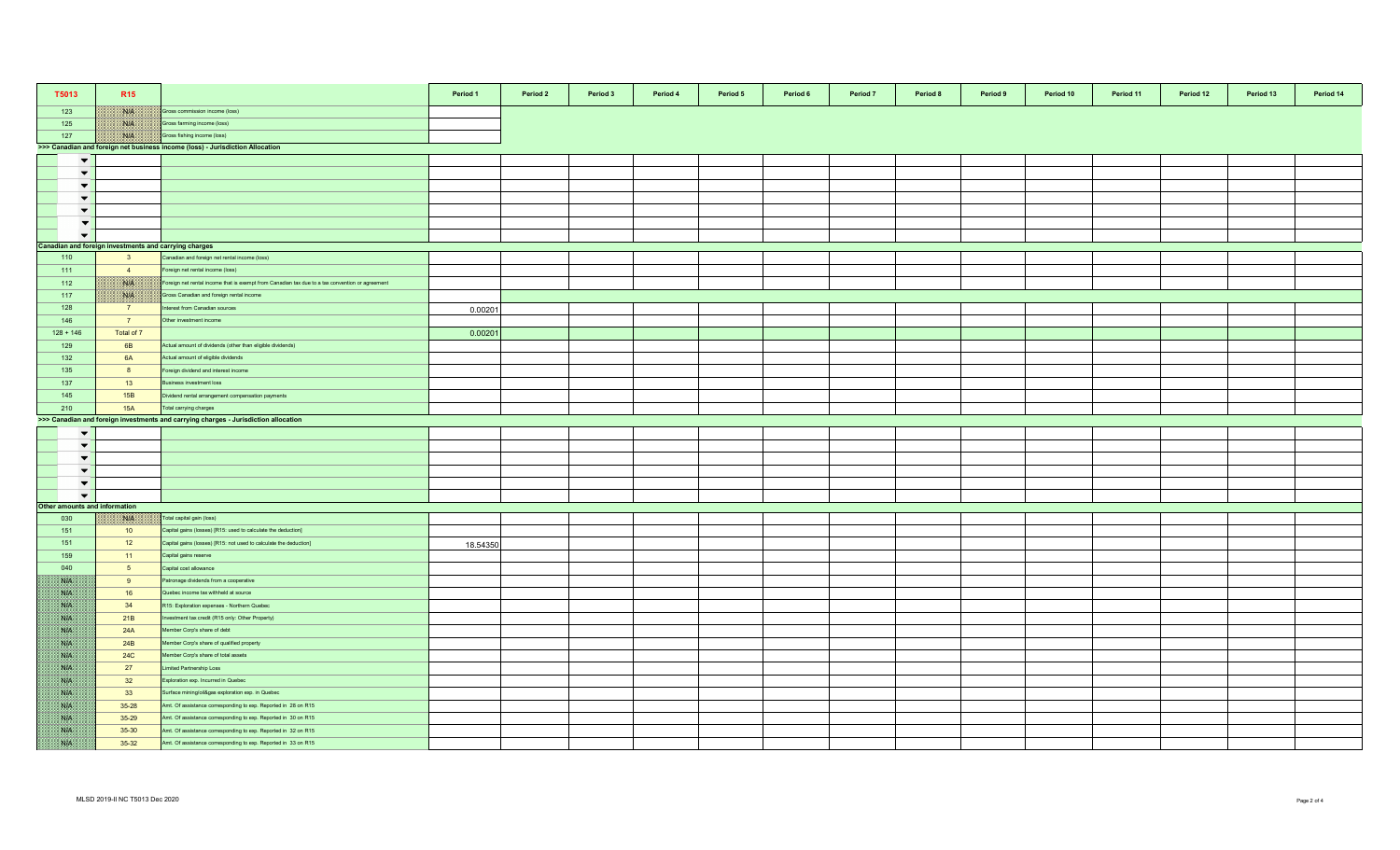| T5013                         | <b>R15</b>                                            |                                                                                                 | Period 1 | Period 2 | Period 3 | Period 4 | Period 5 | Period 6 | Period 7 | Period 8 | Period 9 | Period 10 | Period 11 | Period 12 | Period 13 | Period 14 |
|-------------------------------|-------------------------------------------------------|-------------------------------------------------------------------------------------------------|----------|----------|----------|----------|----------|----------|----------|----------|----------|-----------|-----------|-----------|-----------|-----------|
| 123                           | <b>Side of</b>                                        | Gross commission income (loss)                                                                  |          |          |          |          |          |          |          |          |          |           |           |           |           |           |
| 125                           | <b>BULL</b>                                           | Gross farming income (loss)                                                                     |          |          |          |          |          |          |          |          |          |           |           |           |           |           |
| 127                           | NIK                                                   | Gross fishing income (loss)                                                                     |          |          |          |          |          |          |          |          |          |           |           |           |           |           |
|                               |                                                       | >>> Canadian and foreign net business income (loss) - Jurisdiction Allocation                   |          |          |          |          |          |          |          |          |          |           |           |           |           |           |
| $\blacktriangledown$          |                                                       |                                                                                                 |          |          |          |          |          |          |          |          |          |           |           |           |           |           |
| $\blacktriangledown$          |                                                       |                                                                                                 |          |          |          |          |          |          |          |          |          |           |           |           |           |           |
| $\blacktriangledown$          |                                                       |                                                                                                 |          |          |          |          |          |          |          |          |          |           |           |           |           |           |
| $\left  \cdot \right $        |                                                       |                                                                                                 |          |          |          |          |          |          |          |          |          |           |           |           |           |           |
| $\overline{\phantom{a}}$      |                                                       |                                                                                                 |          |          |          |          |          |          |          |          |          |           |           |           |           |           |
| $\overline{\phantom{a}}$      |                                                       |                                                                                                 |          |          |          |          |          |          |          |          |          |           |           |           |           |           |
| $\overline{\phantom{0}}$      |                                                       |                                                                                                 |          |          |          |          |          |          |          |          |          |           |           |           |           |           |
|                               | Canadian and foreign investments and carrying charges |                                                                                                 |          |          |          |          |          |          |          |          |          |           |           |           |           |           |
| 110                           | 3 <sup>5</sup>                                        | Canadian and foreign net rental income (loss)                                                   |          |          |          |          |          |          |          |          |          |           |           |           |           |           |
| 111                           | $\overline{4}$                                        | Foreign net rental income (loss)                                                                |          |          |          |          |          |          |          |          |          |           |           |           |           |           |
| 112                           | NIA                                                   | Foreign net rental income that is exempt from Canadian tax due to a tax convention or agreement |          |          |          |          |          |          |          |          |          |           |           |           |           |           |
| 117                           | <b>SALE</b>                                           | Gross Canadian and foreign rental income                                                        |          |          |          |          |          |          |          |          |          |           |           |           |           |           |
| 128                           | $\overline{7}$                                        | nterest from Canadian sources                                                                   |          |          |          |          |          |          |          |          |          |           |           |           |           |           |
| 146                           | 7 <sup>7</sup>                                        | Other investment income                                                                         | 0.00201  |          |          |          |          |          |          |          |          |           |           |           |           |           |
|                               |                                                       |                                                                                                 |          |          |          |          |          |          |          |          |          |           |           |           |           |           |
| $128 + 146$<br>129            | Total of 7<br>6B                                      | Actual amount of dividends (other than eligible dividends)                                      | 0.0020   |          |          |          |          |          |          |          |          |           |           |           |           |           |
|                               |                                                       |                                                                                                 |          |          |          |          |          |          |          |          |          |           |           |           |           |           |
| 132                           | 6A                                                    | Actual amount of eligible dividends                                                             |          |          |          |          |          |          |          |          |          |           |           |           |           |           |
| 135                           | 8                                                     | Foreign dividend and interest income                                                            |          |          |          |          |          |          |          |          |          |           |           |           |           |           |
| 137                           | 13                                                    | susiness investment loss                                                                        |          |          |          |          |          |          |          |          |          |           |           |           |           |           |
| 145                           | 15B                                                   | Oividend rental arrangement compensation payments                                               |          |          |          |          |          |          |          |          |          |           |           |           |           |           |
| 210                           | <b>15A</b>                                            | Total carrying charges                                                                          |          |          |          |          |          |          |          |          |          |           |           |           |           |           |
|                               |                                                       | >>> Canadian and foreign investments and carrying charges - Jurisdiction allocation             |          |          |          |          |          |          |          |          |          |           |           |           |           |           |
| $\blacktriangledown$          |                                                       |                                                                                                 |          |          |          |          |          |          |          |          |          |           |           |           |           |           |
| $\blacktriangledown$          |                                                       |                                                                                                 |          |          |          |          |          |          |          |          |          |           |           |           |           |           |
| $\blacktriangledown$          |                                                       |                                                                                                 |          |          |          |          |          |          |          |          |          |           |           |           |           |           |
| $\blacktriangledown$          |                                                       |                                                                                                 |          |          |          |          |          |          |          |          |          |           |           |           |           |           |
| $\blacktriangledown$          |                                                       |                                                                                                 |          |          |          |          |          |          |          |          |          |           |           |           |           |           |
| $\overline{\phantom{a}}$      |                                                       |                                                                                                 |          |          |          |          |          |          |          |          |          |           |           |           |           |           |
| Other amounts and information |                                                       |                                                                                                 |          |          |          |          |          |          |          |          |          |           |           |           |           |           |
| 030                           | <b>BALLA</b>                                          | Total capital gain (loss)                                                                       |          |          |          |          |          |          |          |          |          |           |           |           |           |           |
| 151                           | 10                                                    | Capital gains (losses) [R15: used to calculate the deduction]                                   |          |          |          |          |          |          |          |          |          |           |           |           |           |           |
| 151                           | 12                                                    | Capital gains (losses) [R15: not used to calculate the deduction]                               | 18.54350 |          |          |          |          |          |          |          |          |           |           |           |           |           |
| 159                           | $-11$                                                 | Capital gains reserve                                                                           |          |          |          |          |          |          |          |          |          |           |           |           |           |           |
| 040                           | 5 <sub>5</sub>                                        | Capital cost allowance                                                                          |          |          |          |          |          |          |          |          |          |           |           |           |           |           |
| <b>SUB</b>                    | 9                                                     | Patronage dividends from a cooperative                                                          |          |          |          |          |          |          |          |          |          |           |           |           |           |           |
| <b>SUP</b>                    | 16                                                    | Quebec income tax withheld at source                                                            |          |          |          |          |          |          |          |          |          |           |           |           |           |           |
| NB.                           | 34                                                    | R15: Exploration expenses - Northern Quebec                                                     |          |          |          |          |          |          |          |          |          |           |           |           |           |           |
| <b>ANGEL</b>                  | 21B                                                   | westment tax credit (R15 only: Other Property)                                                  |          |          |          |          |          |          |          |          |          |           |           |           |           |           |
| <b>SAFE</b>                   | 24A                                                   | Member Corp's share of debt                                                                     |          |          |          |          |          |          |          |          |          |           |           |           |           |           |
| SS P                          | 24 <sub>B</sub>                                       | lember Corp's share of qualified property                                                       |          |          |          |          |          |          |          |          |          |           |           |           |           |           |
| <b>SALE</b>                   | <b>24C</b>                                            | Member Corp's share of total assets                                                             |          |          |          |          |          |          |          |          |          |           |           |           |           |           |
| <b>SALE</b>                   | 27                                                    | imited Partnership Loss                                                                         |          |          |          |          |          |          |          |          |          |           |           |           |           |           |
| <b>SOF</b>                    | 32                                                    | Exploration exp. Incurred in Quebec                                                             |          |          |          |          |          |          |          |          |          |           |           |           |           |           |
| NB                            | 33                                                    | Surface mining/oil&gas exploration exp. in Quebec                                               |          |          |          |          |          |          |          |          |          |           |           |           |           |           |
| NB.                           | 35-28                                                 | Amt. Of assistance corresponding to exp. Reported in 28 on R15                                  |          |          |          |          |          |          |          |          |          |           |           |           |           |           |
| NA                            | 35-29                                                 | Amt. Of assistance corresponding to exp. Reported in 30 on R15                                  |          |          |          |          |          |          |          |          |          |           |           |           |           |           |
| <b>SALE</b>                   | 35-30                                                 | Amt. Of assistance corresponding to exp. Reported in 32 on R15                                  |          |          |          |          |          |          |          |          |          |           |           |           |           |           |
| <b>SALE</b>                   | $35 - 32$                                             | Amt. Of assistance corresponding to exp. Reported in 33 on R15                                  |          |          |          |          |          |          |          |          |          |           |           |           |           |           |
|                               |                                                       |                                                                                                 |          |          |          |          |          |          |          |          |          |           |           |           |           |           |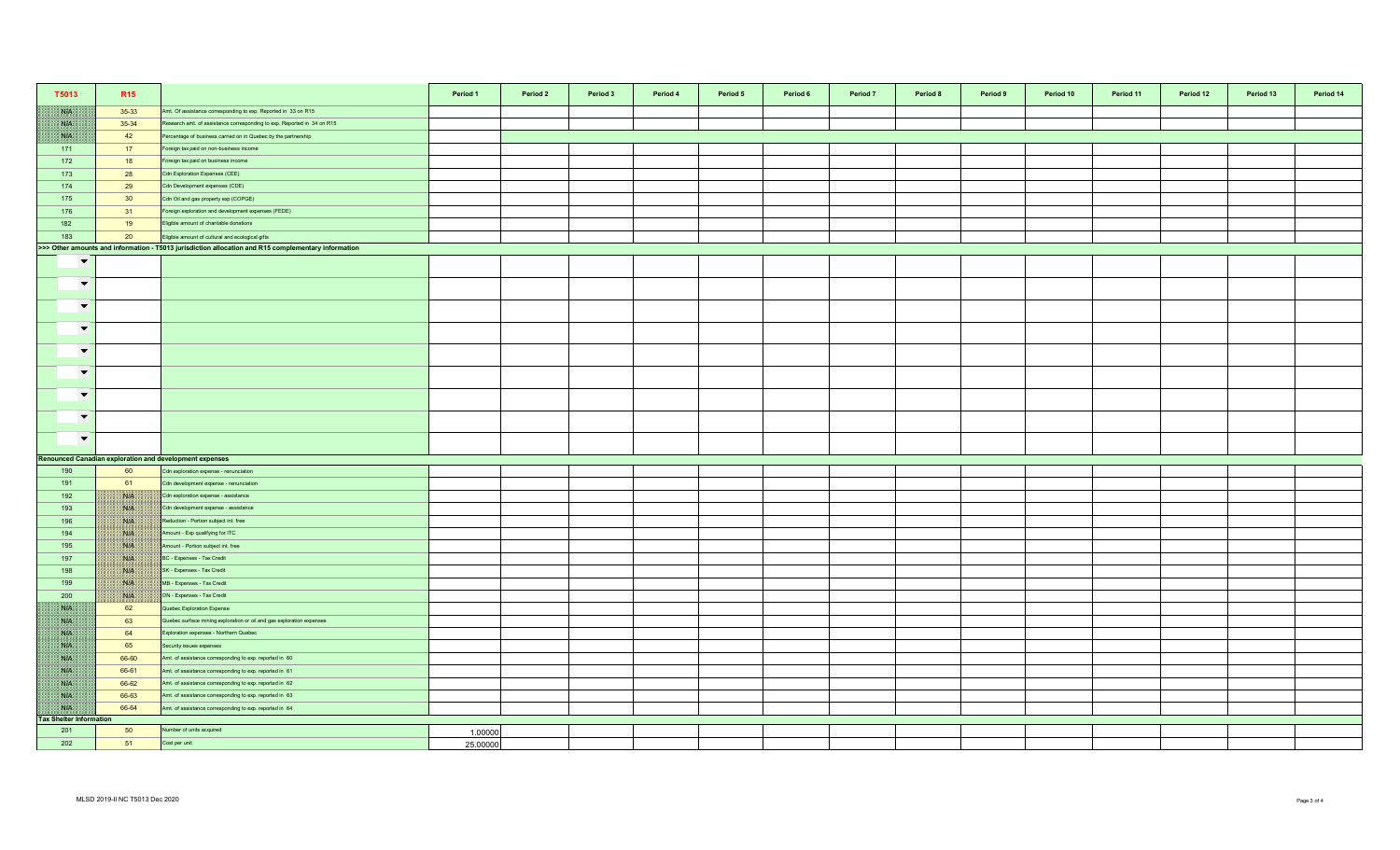| T5013                                | R <sub>15</sub>                                                                                     |                                                                         | Period 1<br>Period 2 | Period 3<br>Period 4 | Period 5 | Period 6 | Period <sub>7</sub> | Period 8 | Period 9 | Period 10 | Period 11 | Period 12 | Period 13 | Period 14 |
|--------------------------------------|-----------------------------------------------------------------------------------------------------|-------------------------------------------------------------------------|----------------------|----------------------|----------|----------|---------------------|----------|----------|-----------|-----------|-----------|-----------|-----------|
| NN                                   | 35-33                                                                                               | Amt. Of assistance corresponding to exp. Reported in 33 on R15          |                      |                      |          |          |                     |          |          |           |           |           |           |           |
| NH                                   | 35-34                                                                                               | Research amt. of assistance corresponding to exp. Reported in 34 on R15 |                      |                      |          |          |                     |          |          |           |           |           |           |           |
| SYP.                                 | 42                                                                                                  | Percentage of business carried on in Quebec by the partnership          |                      |                      |          |          |                     |          |          |           |           |           |           |           |
| 171                                  | 17                                                                                                  | Foreign tax paid on non-business income                                 |                      |                      |          |          |                     |          |          |           |           |           |           |           |
| 172                                  | 18                                                                                                  | oreign tax paid on business income                                      |                      |                      |          |          |                     |          |          |           |           |           |           |           |
| 173                                  | 28                                                                                                  | Cdn Exploration Expenses (CEE)                                          |                      |                      |          |          |                     |          |          |           |           |           |           |           |
| 174                                  | 29                                                                                                  | Cdn Development expenses (CDE)                                          |                      |                      |          |          |                     |          |          |           |           |           |           |           |
| 175                                  | 30                                                                                                  | Cdn Oil and gas property exp (COPGE)                                    |                      |                      |          |          |                     |          |          |           |           |           |           |           |
| 176                                  | 31                                                                                                  | Foreign exploration and development expenses (FEDE)                     |                      |                      |          |          |                     |          |          |           |           |           |           |           |
| 182                                  | 19                                                                                                  | Eligible amount of charitable donations                                 |                      |                      |          |          |                     |          |          |           |           |           |           |           |
| 183                                  | 20                                                                                                  | Eligible amount of cultural and ecological gifts                        |                      |                      |          |          |                     |          |          |           |           |           |           |           |
|                                      | >>> Other amounts and information - T5013 jurisdiction allocation and R15 complementary information |                                                                         |                      |                      |          |          |                     |          |          |           |           |           |           |           |
| $\blacktriangledown$                 |                                                                                                     |                                                                         |                      |                      |          |          |                     |          |          |           |           |           |           |           |
| $\overline{\phantom{a}}$             |                                                                                                     |                                                                         |                      |                      |          |          |                     |          |          |           |           |           |           |           |
| $\blacktriangledown$                 |                                                                                                     |                                                                         |                      |                      |          |          |                     |          |          |           |           |           |           |           |
| $\blacktriangledown$                 |                                                                                                     |                                                                         |                      |                      |          |          |                     |          |          |           |           |           |           |           |
| $\blacktriangledown$                 |                                                                                                     |                                                                         |                      |                      |          |          |                     |          |          |           |           |           |           |           |
| $\overline{\phantom{a}}$             |                                                                                                     |                                                                         |                      |                      |          |          |                     |          |          |           |           |           |           |           |
| $\overline{\phantom{0}}$             |                                                                                                     |                                                                         |                      |                      |          |          |                     |          |          |           |           |           |           |           |
| $\overline{\phantom{a}}$             |                                                                                                     |                                                                         |                      |                      |          |          |                     |          |          |           |           |           |           |           |
| $\overline{\phantom{a}}$             |                                                                                                     |                                                                         |                      |                      |          |          |                     |          |          |           |           |           |           |           |
|                                      |                                                                                                     | Renounced Canadian exploration and development expenses                 |                      |                      |          |          |                     |          |          |           |           |           |           |           |
| 190                                  | 60                                                                                                  | Cdn exploration expense - renunciation                                  |                      |                      |          |          |                     |          |          |           |           |           |           |           |
| 191                                  | 61                                                                                                  | Cdn development expense - renunciation                                  |                      |                      |          |          |                     |          |          |           |           |           |           |           |
| 192                                  | <b>BALES</b>                                                                                        | Cdn exploration expense - assistance                                    |                      |                      |          |          |                     |          |          |           |           |           |           |           |
| 193                                  | NIA                                                                                                 | Cdn development expense - assistance                                    |                      |                      |          |          |                     |          |          |           |           |           |           |           |
| 196                                  | $\mathcal{N}(\mathbb{R})$                                                                           | Reduction - Portion subject int. free                                   |                      |                      |          |          |                     |          |          |           |           |           |           |           |
| 194                                  | <b>BUS</b>                                                                                          | Amount - Exp qualifying for ITC                                         |                      |                      |          |          |                     |          |          |           |           |           |           |           |
| 195                                  | <b>NIA</b>                                                                                          | Amount - Portion subject int. free                                      |                      |                      |          |          |                     |          |          |           |           |           |           |           |
| 197                                  | ma                                                                                                  | BC - Expenses - Tax Credit                                              |                      |                      |          |          |                     |          |          |           |           |           |           |           |
| 198                                  | NIA                                                                                                 | SK - Expenses - Tax Credit                                              |                      |                      |          |          |                     |          |          |           |           |           |           |           |
| 199                                  | <b>BAR</b>                                                                                          | MB - Expenses - Tax Credit                                              |                      |                      |          |          |                     |          |          |           |           |           |           |           |
| 200                                  | <b>SHELL</b>                                                                                        | ON - Expenses - Tax Credit                                              |                      |                      |          |          |                     |          |          |           |           |           |           |           |
| WB                                   | 62                                                                                                  | Quebec Exploration Expense                                              |                      |                      |          |          |                     |          |          |           |           |           |           |           |
| NB                                   | 63                                                                                                  | Quebec surface mining exploration or oil and gas exploration expenses   |                      |                      |          |          |                     |          |          |           |           |           |           |           |
| <b>SALE</b>                          | 64                                                                                                  | Exploration expenses - Northern Quebec                                  |                      |                      |          |          |                     |          |          |           |           |           |           |           |
| <b>BATE</b>                          | 65                                                                                                  | Security issues expenses                                                |                      |                      |          |          |                     |          |          |           |           |           |           |           |
| NB                                   | 66-60                                                                                               | Amt. of assistance corresponding to exp. reported in 60                 |                      |                      |          |          |                     |          |          |           |           |           |           |           |
| <b>SIE</b>                           | 66-61                                                                                               | Amt. of assistance corresponding to exp. reported in 61                 |                      |                      |          |          |                     |          |          |           |           |           |           |           |
| <b>NA</b>                            | 66-62                                                                                               | Amt. of assistance corresponding to exp. reported in 62                 |                      |                      |          |          |                     |          |          |           |           |           |           |           |
| NP                                   | 66-63                                                                                               | Amt. of assistance corresponding to exp. reported in 63                 |                      |                      |          |          |                     |          |          |           |           |           |           |           |
| WB<br><b>Tax Shelter Information</b> | 66-64                                                                                               | Amt. of assistance corresponding to exp. reported in 64                 |                      |                      |          |          |                     |          |          |           |           |           |           |           |
| 201                                  | 50                                                                                                  | Number of units acquired                                                | 1.00000              |                      |          |          |                     |          |          |           |           |           |           |           |
| 202                                  | 51                                                                                                  | Cost per unit                                                           | 25.00000             |                      |          |          |                     |          |          |           |           |           |           |           |
|                                      |                                                                                                     |                                                                         |                      |                      |          |          |                     |          |          |           |           |           |           |           |